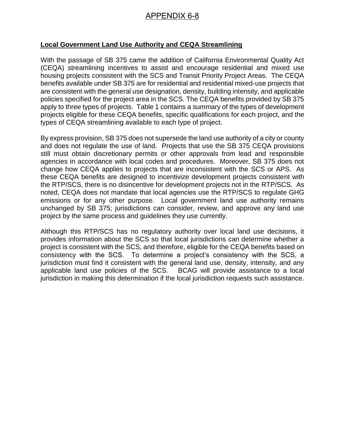## APPENDIX 6-8

## **Local Government Land Use Authority and CEQA Streamlining**

With the passage of SB 375 came the addition of California Environmental Quality Act (CEQA) streamlining incentives to assist and encourage residential and mixed use housing projects consistent with the SCS and Transit Priority Project Areas. The CEQA benefits available under SB 375 are for residential and residential mixed-use projects that are consistent with the general use designation, density, building intensity, and applicable policies specified for the project area in the SCS. The CEQA benefits provided by SB 375 apply to three types of projects. Table 1 contains a summary of the types of development projects eligible for these CEQA benefits, specific qualifications for each project, and the types of CEQA streamlining available to each type of project.

By express provision, SB 375 does not supersede the land use authority of a city or county and does not regulate the use of land. Projects that use the SB 375 CEQA provisions still must obtain discretionary permits or other approvals from lead and responsible agencies in accordance with local codes and procedures. Moreover, SB 375 does not change how CEQA applies to projects that are inconsistent with the SCS or APS. As these CEQA benefits are designed to incentivize development projects consistent with the RTP/SCS, there is no disincentive for development projects not in the RTP/SCS. As noted, CEQA does not mandate that local agencies use the RTP/SCS to regulate GHG emissions or for any other purpose. Local government land use authority remains unchanged by SB 375; jurisdictions can consider, review, and approve any land use project by the same process and guidelines they use currently.

Although this RTP/SCS has no regulatory authority over local land use decisions, it provides information about the SCS so that local jurisdictions can determine whether a project is consistent with the SCS, and therefore, eligible for the CEQA benefits based on consistency with the SCS. To determine a project's consistency with the SCS, a jurisdiction must find it consistent with the general land use, density, intensity, and any applicable land use policies of the SCS. BCAG will provide assistance to a local jurisdiction in making this determination if the local jurisdiction requests such assistance.